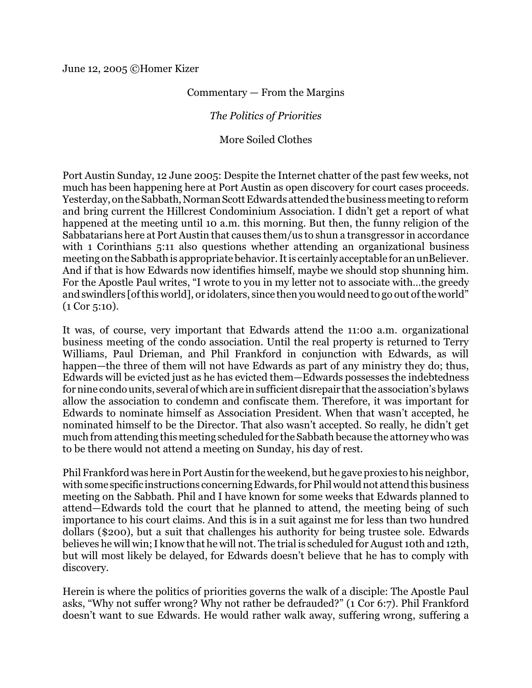June 12, 2005 ©Homer Kizer

## Commentary — From the Margins

## *The Politics of Priorities*

## More Soiled Clothes

Port Austin Sunday, 12 June 2005: Despite the Internet chatter of the past few weeks, not much has been happening here at Port Austin as open discovery for court cases proceeds. Yesterday, on the Sabbath, Norman Scott Edwards attended the business meeting to reform and bring current the Hillcrest Condominium Association. I didn't get a report of what happened at the meeting until 10 a.m. this morning. But then, the funny religion of the Sabbatarians here at Port Austin that causes them/us to shun a transgressor in accordance with 1 Corinthians 5:11 also questions whether attending an organizational business meeting on the Sabbathis appropriate behavior. Itis certainly acceptable for an unBeliever. And if that is how Edwards now identifies himself, maybe we should stop shunning him. For the Apostle Paul writes, "I wrote to you in my letter not to associate with…the greedy and swindlers [ofthis world], or idolaters, since then you would need to go out ofthe world" (1 Cor 5:10).

It was, of course, very important that Edwards attend the 11:00 a.m. organizational business meeting of the condo association. Until the real property is returned to Terry Williams, Paul Drieman, and Phil Frankford in conjunction with Edwards, as will happen—the three of them will not have Edwards as part of any ministry they do; thus, Edwards will be evicted just as he has evicted them—Edwards possesses the indebtedness for nine condo units, several of which are in sufficient disrepair that the association's bylaws allow the association to condemn and confiscate them. Therefore, it was important for Edwards to nominate himself as Association President. When that wasn't accepted, he nominated himself to be the Director. That also wasn't accepted. So really, he didn't get much from attending this meeting scheduled for the Sabbath because the attorney who was to be there would not attend a meeting on Sunday, his day of rest.

Phil Frankford was here in Port Austin for the weekend, but he gave proxies to his neighbor, with some specific instructions concerning Edwards, for Phil would not attend this business meeting on the Sabbath. Phil and I have known for some weeks that Edwards planned to attend—Edwards told the court that he planned to attend, the meeting being of such importance to his court claims. And this is in a suit against me for less than two hundred dollars (\$200), but a suit that challenges his authority for being trustee sole. Edwards believes he will win; I know that he will not. The trial is scheduled for August 10th and 12th, but will most likely be delayed, for Edwards doesn't believe that he has to comply with discovery.

Herein is where the politics of priorities governs the walk of a disciple: The Apostle Paul asks, "Why not suffer wrong? Why not rather be defrauded?" (1 Cor 6:7). Phil Frankford doesn't want to sue Edwards. He would rather walk away, suffering wrong, suffering a